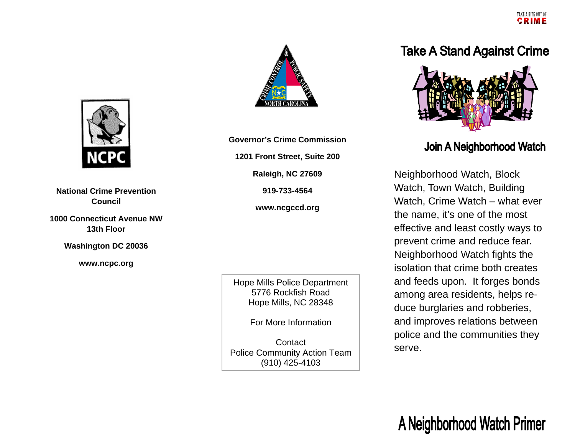## **Take A Stand Against Crime**



### Join A Neighborhood Watch

Neighborhood Watch, Block Watch, Town Watch, Building Watch, Crime Watch – what ever the name, it's one of the most effective and least costly ways to prevent crime and reduce fear. Neighborhood Watch fights the isolation that crime both creates and feeds upon. It forges bonds among area residents, helps reduce burglaries and robberies, and improves relations between police and the communities they serve.



**National Crime Prevention Council** 

**1000 Connecticut Avenue NW 13th Floor** 

**Washington DC 20036** 

**www.ncpc.org** 



**Governor's Crime Commission 1201 Front Street, Suite 200 Raleigh, NC 27609 919-733-4564 www.ncgccd.org** 

Hope Mills Police Department 5776 Rockfish Road Hope Mills, NC 28348

For More Information

**Contact**  Police Community Action Team (910) 425-4103

# A Neighborhood Watch Primer